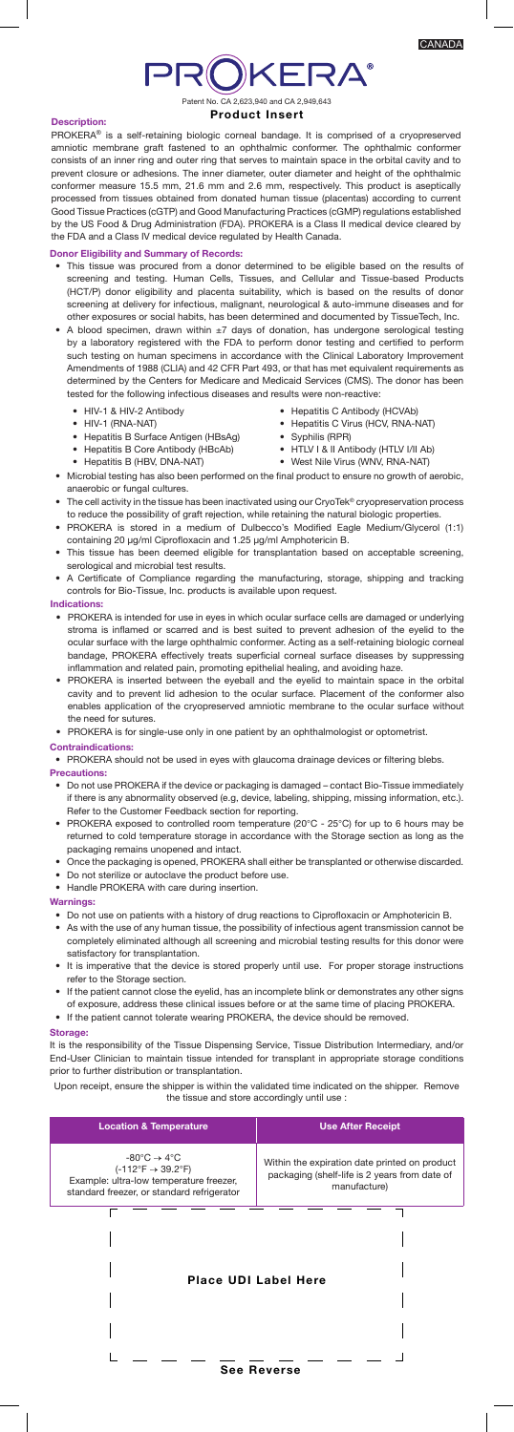# **PROKERA®** Patent No. CA 2,623,940 and CA 2,949,643

# Product Insert

# Description:

PROKERA<sup>®</sup> is a self-retaining biologic corneal bandage. It is comprised of a cryopreserved amniotic membrane graft fastened to an ophthalmic conformer. The ophthalmic conformer consists of an inner ring and outer ring that serves to maintain space in the orbital cavity and to prevent closure or adhesions. The inner diameter, outer diameter and height of the ophthalmic conformer measure 15.5 mm, 21.6 mm and 2.6 mm, respectively. This product is aseptically processed from tissues obtained from donated human tissue (placentas) according to current Good Tissue Practices (cGTP) and Good Manufacturing Practices (cGMP) regulations established by the US Food & Drug Administration (FDA). PROKERA is a Class II medical device cleared by the FDA and a Class IV medical device regulated by Health Canada.

# Donor Eligibility and Summary of Records:

- This tissue was procured from a donor determined to be eligible based on the results of screening and testing. Human Cells, Tissues, and Cellular and Tissue-based Products (HCT/P) donor eligibility and placenta suitability, which is based on the results of donor screening at delivery for infectious, malignant, neurological & auto-immune diseases and for other exposures or social habits, has been determined and documented by TissueTech, Inc.
- A blood specimen, drawn within  $\pm 7$  days of donation, has undergone serological testing by a laboratory registered with the FDA to perform donor testing and certified to perform such testing on human specimens in accordance with the Clinical Laboratory Improvement Amendments of 1988 (CLIA) and 42 CFR Part 493, or that has met equivalent requirements as determined by the Centers for Medicare and Medicaid Services (CMS). The donor has been tested for the following infectious diseases and results were non-reactive:

• Hepatitis C Antibody (HCVAb) • Hepatitis C Virus (HCV, RNA-NAT)

• HTLV I & II Antibody (HTLV I/II Ab)

• Syphilis (RPR)

- HIV-1 & HIV-2 Antibody
- HIV-1 (RNA-NAT)
	- Hepatitis B Surface Antigen (HBsAg)
- Hepatitis B Core Antibody (HBcAb)
- Hepatitis B (HBV, DNA-NAT)
- West Nile Virus (WNV, RNA-NAT) • Microbial testing has also been performed on the final product to ensure no growth of aerobic, anaerobic or fungal cultures.
- The cell activity in the tissue has been inactivated using our CryoTek® cryopreservation process to reduce the possibility of graft rejection, while retaining the natural biologic properties.
- PROKERA is stored in a medium of Dulbecco's Modified Eagle Medium/Glycerol (1:1) containing 20 µg/ml Ciprofloxacin and 1.25 µg/ml Amphotericin B.
- This tissue has been deemed eligible for transplantation based on acceptable screening, serological and microbial test results.
- A Certificate of Compliance regarding the manufacturing, storage, shipping and tracking controls for Bio-Tissue, Inc. products is available upon request.

# Indications:

- PROKERA is intended for use in eyes in which ocular surface cells are damaged or underlying stroma is inflamed or scarred and is best suited to prevent adhesion of the eyelid to the ocular surface with the large ophthalmic conformer. Acting as a self-retaining biologic corneal bandage, PROKERA effectively treats superficial corneal surface diseases by suppressing inflammation and related pain, promoting epithelial healing, and avoiding haze.
- PROKERA is inserted between the eyeball and the eyelid to maintain space in the orbital cavity and to prevent lid adhesion to the ocular surface. Placement of the conformer also enables application of the cryopreserved amniotic membrane to the ocular surface without the need for sutures
- PROKERA is for single-use only in one patient by an ophthalmologist or optometrist.

#### Contraindications:

- PROKERA should not be used in eyes with glaucoma drainage devices or filtering blebs. Precautions:
	- Do not use PROKERA if the device or packaging is damaged contact Bio-Tissue immediately if there is any abnormality observed (e.g, device, labeling, shipping, missing information, etc.). Refer to the Customer Feedback section for reporting.
	- PROKERA exposed to controlled room temperature (20°C 25°C) for up to 6 hours may be returned to cold temperature storage in accordance with the Storage section as long as the packaging remains unopened and intact.
	- Once the packaging is opened, PROKERA shall either be transplanted or otherwise discarded. • Do not sterilize or autoclave the product before use.
	- Handle PROKERA with care during insertion.

#### Warnings:

- Do not use on patients with a history of drug reactions to Ciprofloxacin or Amphotericin B.
- As with the use of any human tissue, the possibility of infectious agent transmission cannot be completely eliminated although all screening and microbial testing results for this donor were satisfactory for transplantation.
- It is imperative that the device is stored properly until use. For proper storage instructions refer to the Storage section.
- If the patient cannot close the eyelid, has an incomplete blink or demonstrates any other signs of exposure, address these clinical issues before or at the same time of placing PROKERA. • If the patient cannot tolerate wearing PROKERA, the device should be removed.

#### Storage:

I

It is the responsibility of the Tissue Dispensing Service, Tissue Distribution Intermediary, and/or End-User Clinician to maintain tissue intended for transplant in appropriate storage conditions prior to further distribution or transplantation.

Upon receipt, ensure the shipper is within the validated time indicated on the shipper. Remove the tissue and store accordingly until use :

| <b>Location &amp; Temperature</b>                                                                                                                                                 | <b>Use After Receipt</b>                                                                                       |
|-----------------------------------------------------------------------------------------------------------------------------------------------------------------------------------|----------------------------------------------------------------------------------------------------------------|
| $-80^{\circ}$ C $\rightarrow 4^{\circ}$ C<br>$(-112^{\circ}F \rightarrow 39.2^{\circ}F)$<br>Example: ultra-low temperature freezer,<br>standard freezer, or standard refrigerator | Within the expiration date printed on product<br>packaging (shelf-life is 2 years from date of<br>manufacture) |
|                                                                                                                                                                                   |                                                                                                                |

Place UDI Label Here

 $\mathsf{l}$